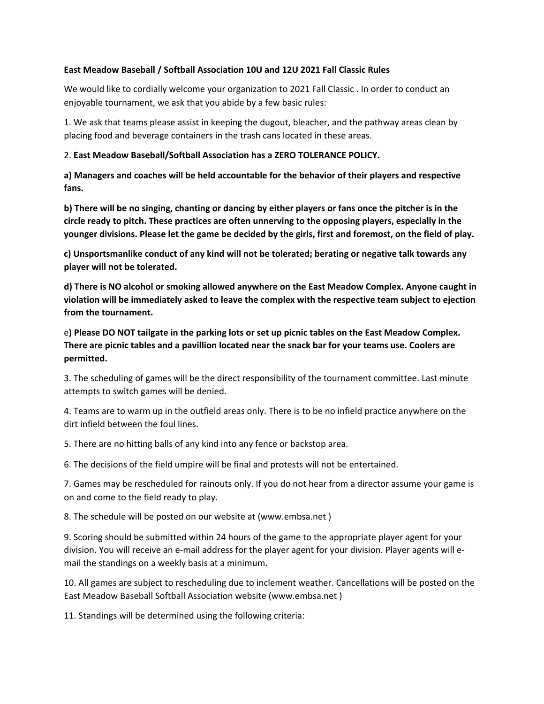### **East Meadow Baseball / Softball Association 10U and 12U 2021 Fall Classic Rules**

We would like to cordially welcome your organization to 2021 Fall Classic . In order to conduct an enjoyable tournament, we ask that you abide by a few basic rules:

1. We ask that teams please assist in keeping the dugout, bleacher, and the pathway areas clean by placing food and beverage containers in the trash cans located in these areas.

# 2. East Meadow Baseball/Softball Association has a ZERO TOLERANCE POLICY.

a) Managers and coaches will be held accountable for the behavior of their players and respective **fans.**

**b)** There will be no singing, chanting or dancing by either players or fans once the pitcher is in the circle ready to pitch. These practices are often unnerving to the opposing players, especially in the younger divisions. Please let the game be decided by the girls, first and foremost, on the field of play.

c) Unsportsmanlike conduct of any kind will not be tolerated; berating or negative talk towards any player will not be tolerated.

**d)** There is NO alcohol or smoking allowed anywhere on the East Meadow Complex. Anyone caught in violation will be immediately asked to leave the complex with the respective team subject to ejection from the tournament.

e) Please DO NOT tailgate in the parking lots or set up picnic tables on the East Meadow Complex. **There are picnic tables and a pavillion located near the snack bar for your teams use. Coolers are permitted.**

3. The scheduling of games will be the direct responsibility of the tournament committee. Last minute attempts to switch games will be denied.

4. Teams are to warm up in the outfield areas only. There is to be no infield practice anywhere on the dirt infield between the foul lines.

5. There are no hitting balls of any kind into any fence or backstop area.

6. The decisions of the field umpire will be final and protests will not be entertained.

7. Games may be rescheduled for rainouts only. If you do not hear from a director assume your game is on and come to the field ready to play.

8. The schedule will be posted on our website at (www.embsa.net)

9. Scoring should be submitted within 24 hours of the game to the appropriate player agent for your division. You will receive an e-mail address for the player agent for your division. Player agents will email the standings on a weekly basis at a minimum.

10. All games are subject to rescheduling due to inclement weather. Cancellations will be posted on the East Meadow Baseball Softball Association website (www.embsa.net)

11. Standings will be determined using the following criteria: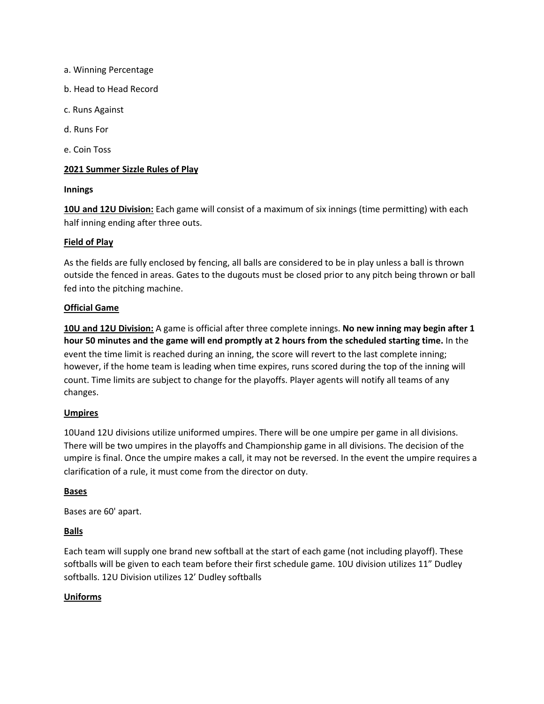- a. Winning Percentage
- b. Head to Head Record
- c. Runs Against
- d. Runs For
- e. Coin Toss

#### **2021 Summer Sizzle Rules of Play**

#### **Innings**

10U and 12U Division: Each game will consist of a maximum of six innings (time permitting) with each half inning ending after three outs.

#### **Field of Play**

As the fields are fully enclosed by fencing, all balls are considered to be in play unless a ball is thrown outside the fenced in areas. Gates to the dugouts must be closed prior to any pitch being thrown or ball fed into the pitching machine.

#### **Official Game**

**10U** and 12U Division: A game is official after three complete innings. No new inning may begin after 1 **hour 50 minutes and the game will end promptly at 2 hours from the scheduled starting time.** In the event the time limit is reached during an inning, the score will revert to the last complete inning; however, if the home team is leading when time expires, runs scored during the top of the inning will count. Time limits are subject to change for the playoffs. Player agents will notify all teams of any changes.

### **Umpires**

10Uand 12U divisions utilize uniformed umpires. There will be one umpire per game in all divisions. There will be two umpires in the playoffs and Championship game in all divisions. The decision of the umpire is final. Once the umpire makes a call, it may not be reversed. In the event the umpire requires a clarification of a rule, it must come from the director on duty.

#### **Bases**

Bases are 60' apart.

### **Balls**

Each team will supply one brand new softball at the start of each game (not including playoff). These softballs will be given to each team before their first schedule game. 10U division utilizes 11" Dudley softballs. 12U Division utilizes 12' Dudley softballs

### **Uniforms**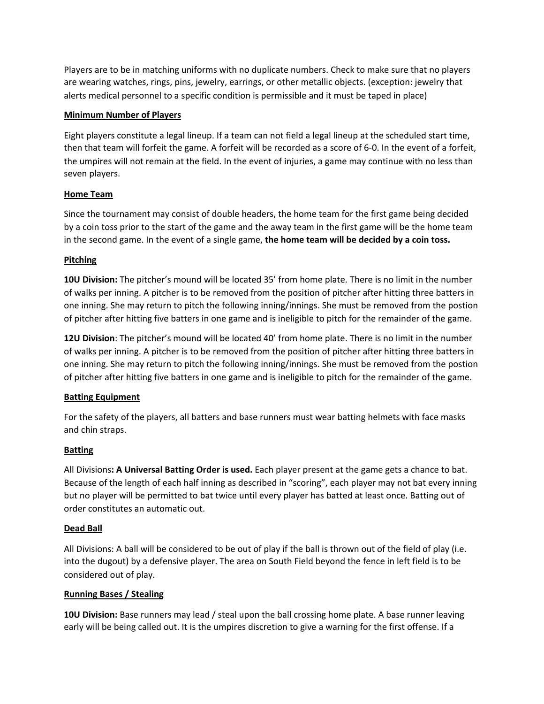Players are to be in matching uniforms with no duplicate numbers. Check to make sure that no players are wearing watches, rings, pins, jewelry, earrings, or other metallic objects. (exception: jewelry that alerts medical personnel to a specific condition is permissible and it must be taped in place)

### **Minimum Number of Players**

Eight players constitute a legal lineup. If a team can not field a legal lineup at the scheduled start time, then that team will forfeit the game. A forfeit will be recorded as a score of 6-0. In the event of a forfeit, the umpires will not remain at the field. In the event of injuries, a game may continue with no less than seven players.

### **Home Team**

Since the tournament may consist of double headers, the home team for the first game being decided by a coin toss prior to the start of the game and the away team in the first game will be the home team in the second game. In the event of a single game, the home team will be decided by a coin toss.

### **Pitching**

**10U Division:** The pitcher's mound will be located 35' from home plate. There is no limit in the number of walks per inning. A pitcher is to be removed from the position of pitcher after hitting three batters in one inning. She may return to pitch the following inning/innings. She must be removed from the postion of pitcher after hitting five batters in one game and is ineligible to pitch for the remainder of the game.

**12U Division**: The pitcher's mound will be located 40' from home plate. There is no limit in the number of walks per inning. A pitcher is to be removed from the position of pitcher after hitting three batters in one inning. She may return to pitch the following inning/innings. She must be removed from the postion of pitcher after hitting five batters in one game and is ineligible to pitch for the remainder of the game.

### **Batting Equipment**

For the safety of the players, all batters and base runners must wear batting helmets with face masks and chin straps.

# **Batting**

All Divisions: A Universal Batting Order is used. Each player present at the game gets a chance to bat. Because of the length of each half inning as described in "scoring", each player may not bat every inning but no player will be permitted to bat twice until every player has batted at least once. Batting out of order constitutes an automatic out.

# **Dead Ball**

All Divisions: A ball will be considered to be out of play if the ball is thrown out of the field of play (i.e. into the dugout) by a defensive player. The area on South Field beyond the fence in left field is to be considered out of play.

# **Running Bases / Stealing**

**10U Division:** Base runners may lead / steal upon the ball crossing home plate. A base runner leaving early will be being called out. It is the umpires discretion to give a warning for the first offense. If a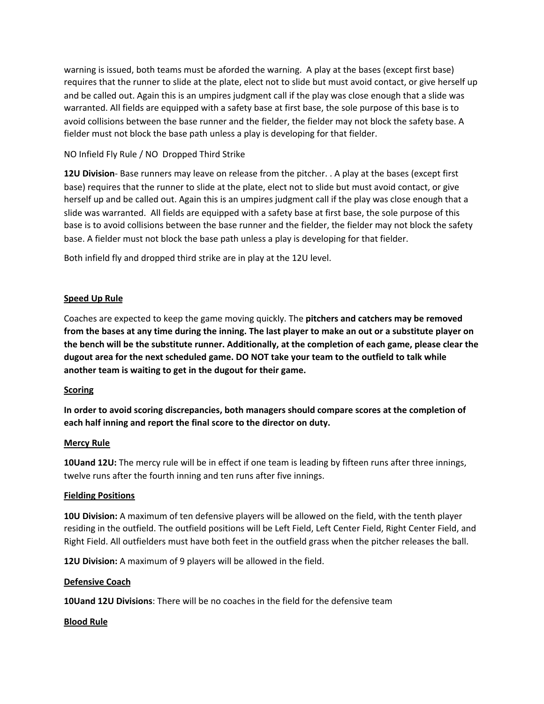warning is issued, both teams must be aforded the warning. A play at the bases (except first base) requires that the runner to slide at the plate, elect not to slide but must avoid contact, or give herself up and be called out. Again this is an umpires judgment call if the play was close enough that a slide was warranted. All fields are equipped with a safety base at first base, the sole purpose of this base is to avoid collisions between the base runner and the fielder, the fielder may not block the safety base. A fielder must not block the base path unless a play is developing for that fielder.

# NO Infield Fly Rule / NO Dropped Third Strike

**12U Division**- Base runners may leave on release from the pitcher. . A play at the bases (except first base) requires that the runner to slide at the plate, elect not to slide but must avoid contact, or give herself up and be called out. Again this is an umpires judgment call if the play was close enough that a slide was warranted. All fields are equipped with a safety base at first base, the sole purpose of this base is to avoid collisions between the base runner and the fielder, the fielder may not block the safety base. A fielder must not block the base path unless a play is developing for that fielder.

Both infield fly and dropped third strike are in play at the 12U level.

### **Speed Up Rule**

Coaches are expected to keep the game moving quickly. The **pitchers and catchers may be removed** from the bases at any time during the inning. The last player to make an out or a substitute player on the bench will be the substitute runner. Additionally, at the completion of each game, please clear the dugout area for the next scheduled game. DO NOT take your team to the outfield to talk while another team is waiting to get in the dugout for their game.

### **Scoring**

In order to avoid scoring discrepancies, both managers should compare scores at the completion of each half inning and report the final score to the director on duty.

### **Mercy Rule**

**10Uand 12U:** The mercy rule will be in effect if one team is leading by fifteen runs after three innings, twelve runs after the fourth inning and ten runs after five innings.

### **Fielding Positions**

**10U Division:** A maximum of ten defensive players will be allowed on the field, with the tenth player residing in the outfield. The outfield positions will be Left Field, Left Center Field, Right Center Field, and Right Field. All outfielders must have both feet in the outfield grass when the pitcher releases the ball.

**12U Division:** A maximum of 9 players will be allowed in the field.

### **Defensive Coach**

**10Uand 12U Divisions:** There will be no coaches in the field for the defensive team

### **Blood Rule**